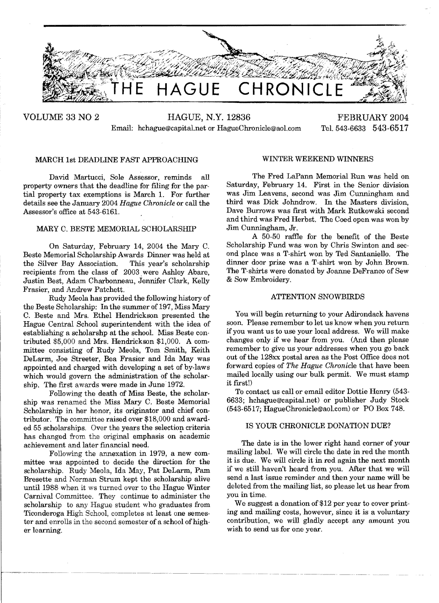

VOLUME 33 NO 2 HAGUE, N.Y. 12836 FEBRUARY 2004 Email: hchague@capital.net or HagueChronicle@aoLcom Tel. 543·6633 543-6517

# MARCH 1st DEADLINE FAST APPROACHING

David Martucci, Sole Assessor, reminds all property owners that the deadline for fIling for the partial property tax exemptions is March 1. For further details see the January 2004 *Hague Chronicle* or call the Assessor's office at 543-6161.

# MARY C. BESTE MEMORIAL SCHOLARSHIP

On Saturday, February 14, 2004 the Mary C. Beste Memorial Scholarship Awards Dinner was held at the Silver Bay Association. This year's scholarship recipients from the class of 2003. were Ashley Abare, Justin Best, Adam Charbonneau, Jennifer Clark, Kelly Frasier, and Andrew Patchett.

Rudy Meola has provided the following history of the Beste Scholarship: In the summer of 197, Miss Mary C. Beste and Mrs. Ethel Hendrickson presented the Hague Central School superintendent with the idea of establishing a scholarshp at the school. Miss Beste contributed \$5,000 and Mrs. Hendrickson \$1,000. A committee consisting of Rudy Meola, Tom Smith, Keith DeLarm, Joe Streeter, Bea Frasier and Ida May was appointed and charged with developing a set of by-laws which would govern the administration of the scholarship. The first awards were made in June 1972.

Following the death of Miss Beste, the scholarship was renamed the Miss Mary C. Beste Memorial Scholarship in her honor, its originator and chief contributor. The committee raised over \$18,000 and awarded 55 scholarships. Over the years the selection criteria has changed from the original emphasis on academic achievement and later fmancial need.

Following the annexation in 1979, a new committee was appointed to decide the direction for the scholarship. Rudy Meola, Ida May, Pat DeLarm, Pam Bresette and Norman Strum kept the scholarship alive until 1988 when it ws turned over to the Hague Winter Carnival Committee. They continue to administer the scholarship to any Hague student who graduates from Ticonderoga High School, completes at least one semester and enrolls in the second semester of a school of higher learning.

### WINTER WEEKEND WINNERS

The Fred LaPann Memorial Run was held on Saturday, February 14. First in the Senior division was Jim Leavens, second was Jim Cunningham and third was Dick Johndrow. In the Masters division, Dave Burrows was first with Mark Rutkowski second and third was Fred Herbst. The Coed open was won by Jim Cunningham, Jr.

A 50-50 raffie for the benefit of the Beste Scholarship Fund was won by Chris Swinton and second place was a T-shirt won by Ted Santaniello. The dinner door prize was a T-shirt won by John Brown. The T-shirts were donated by Joanne DeFranco of Sew & Sow Embroidery.

### ATTENTION SNOWBIRDS

You will begin returning to your Adirondack havens soon. Please remember to let us know when you return ifyou want us to use your local address. We will make changes only if we hear from you. (And then please remember to give us your addresses when you go back out of the 128xx postal area as the Post Office does not forward copies of *The Hague Chronicle* that have been mailed locally using our bulk permit. We must stamp it first!)

To contact us call or email editor Dottie Henry (543 6633; hchague@capital.net) or publisher Judy Stock (543-6517; HagueChronicle@aoLcom) or PO Box 748.

### IS YOUR CHRONICLE DONATION DUE?

The date is in the lower right hand corner of your mailing label. We will circle the date in red the month it is due. We will circle it in red again the next month if we still haven't heard from you. After that we will send a last issue reminder and then your name will be deleted from the mailing list, so please let us hear from you in time.

We suggest a donation of \$12 per year to cover printing and mailing costs, however, since it is a voluntary contribution, we will gladly accept any amount you wish to send us for one year.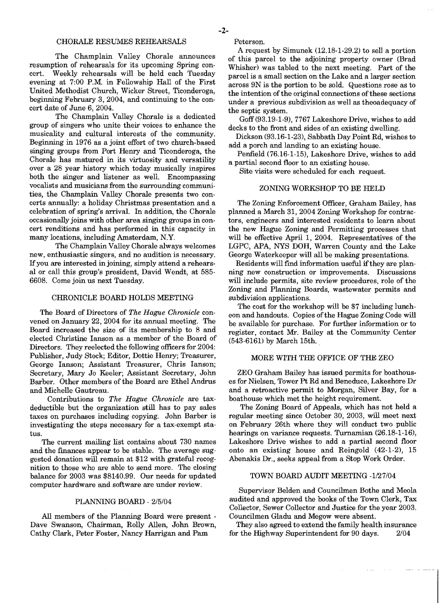The Champlain Valley Chorale announces resumption of rehearsals for its upcoming Spring concert. Weekly rehearsals will be held each Tuesday Weekly rehearsals will be held each Tuesday evening at 7:00 P.M. in Fellowship Hall of the First United Methodist Church, Wicker Street, Ticonderoga, beginning February 3, 2004, and continuing to the concert date of June 6, 2004.

The Champlain Valley Chorale is a dedicated group of singers who unite their voices to enhance the musicality and cultural interests of the community. Beginning in 1976 as a joint effort of two church-based singing groups from Port Henry and Ticonderoga, the Chorale has matured in its virtuosity and versatility over a 28 year history which today musically inspires both the singer and listener as well. Encompassing vocalists and musicians from the surrounding communities, the Champlain Valley Chorale presents two concerts annually: a holiday Christmas presentation and a celebration of spring's arrival. In addition, the Chorale occasionally joins with other area singing groups in concert renditions and has performed in this capacity in many locations, including Amsterdam, N.Y.

The Champlain Valley Chorale always welcomes new, enthusiastic singers, and no audition is necessary. Ifyou are interested in joining, simply attend a rehearsal or call this group's president, David Wendt, at 585 6608. Come join us next Tuesday.

### CHRONICLE BOARD HOLDS MEETING

The Board of Directors of *The Hague Chronicle* convened on January 22, 2004 for its annual meeting. The Board increased the size of its membership to 8 and elected Christine Ianson as a member of the Board of Directors. They reelected the following officers for 2004: Publisher, Judy Stock; Editor, Dottie Henry; Treasurer, George Ianson; Assistant Treasurer, Chris Ianson; Secretary, Mary Jo Keeler; Assistant Secretary, John Barber. Other members of the Board are Ethel Andrus and Michelle Gautreau.

Contributions to *The Hague Chronicle* are taxdeductible but the organization still has to pay sales taxes on purchases including copying. John Barber is investigating the steps necessary for a tax-exempt status.

The current mailing list contains about 730 names and the fmances appear to be stable. The average suggested donation will remain at \$12 with grateful recognition to those who are able to send more. The closing balance for 2003 was \$8140.99. Our needs for updated computer hardware and software are under review.

#### PLANNING BOARD - 2/5/04

All members of the Planning Board were present . Dave Swanson, Chairman, Rolly Allen, John Brown, Cathy Clark, Peter Foster, Nancy Harrigan and Pam

Peterson.

A request by Simunek (12.18-1-29.2) to sell a portion of this parcel to the adjoining property owner (Brad Whisher) was tabled to the next meeting. Part of the parcel is a small section on the Lake and a larger section across 9N is the portion to be sold. Questions rose as to the intention of the original connections of these sections under a previous subdivision as well as theoadequacy of the septic system.

Goff (93.19-1-9), 7767 Lakeshore Drive, wishes to add decks to the front and sides of an existing dwelling.

Dickson (93.16-1-23), Sabbath Day Point Rd, wishes to add a porch and landing to an existing house.

Penfield (76.16-1-15), Lakeshore Drive, wishes to add a partial second floor to an existing house.

Site visits were scheduled for each request.

### ZONING WORKSHOP TO BE HELD

The Zoning Enforcement Officer, Graham Bailey, has planned a March 31,2004 Zoning Workshop for contractors, engineers and interested residents to learn about the new Hague Zoning and Permitting processes that will be effective April 1, 2004. Representatives of the LGPC, APA, NYS DOH, Warren County and the Lake George Waterkeeper will all be making presentations.

Residents will find information useful if they are planning new construction or improvements. Discussions will include permits, site review procedures, role of the Zoning and Planning Boards, wastewater permits and subdivision applications.

The cost for the workshop will be \$7 including luncheon and handouts. Copies of the Hague Zoning Code will be available for purchase. For further information or to register, contact lM'r. Bailey at the Community Center (543·6161) by March 15th..

### MORE WITH THE OFFICE OF THE ZEO

ZEO Graham Bailey has issued permits for boathouses for Nielsen, Tower Pt Rd and Beneduce, Lakeshore Dr and a retroactive permit to Morgan, Silver Bay, for a boathouse which met the height requirement.

The Zoning Board of Appeals, which has not held a regular meeting since October 30,2003, will meet next on February 26th where they will conduct two public hearings on variance requests. Turnamian  $(26.18-1-16)$ , Lakeshore Drive wishes to add a partial second floor onto an existing house and Reingold (42-1-2), 15 Abenakis Dr., seeks appeal from a Stop Work Order.

## TOWN BOARD AUDIT MEETING -1/27/04

Supervisor Belden and Councilmen Bothe and Meola audited and approved the books of the Town Clerk, Tax Collector, Sewer Collector and Justice for the year 2003. Councilmen Gladu and Megow were absent.

They also agreed to extend the family health insurance for the Highway Superintendent for 90 days. 2/04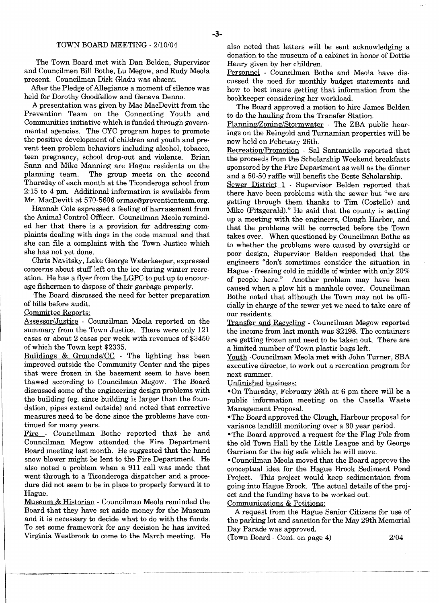#### TOWN BOARD MEETING - *2/10/04*

The Town Board met with Dan Belden, Supervisor and Councilmen Bill Bothe, Lu Megow, and Rudy Meola present. Councilman Dick Gladu was absent.

After the Pledge of Allegiance a moment of silence was held for Dorothy Goodfellow and Geneva Denno.

A presentation was given by Mac MacDevitt from the Prevention Team on the Connecting Youth and Communities initiative which is funded through governmental agencies. The CYC program hopes to promote the positive development of children and youth and prevent teen problem behaviors including alcohol, tobacco, teen pregnancy, school drop-out and violence. Brian Sann and Mike Manning are Hague residents on the The group meets on the second Thursday of each month at the Ticonderoga school from 2:15 to 4 pm. Additional information is available from Mr. MacDevitt at 570-5606 ormac@preventionteam.org.

Hannah Cole expressed a feeling of harrassment from the Animal Control Officer. Councilman Meola reminded her that there is a provision for addressing complaints dealing with dogs in the code manual and that she can file a complaint with the Town Justice which she has not yet done.

Chris Navitsky, Lake George Waterkeeper, expressed concerns about stuff left on the ice during winter recreation. He has a flyer from the LGPC to put up to encourage fishermen to dispose of their garbage properly.

The Board discussed the need for better preparation of bills before audit.

Committee Reports:

Assessor/Justice - Councilman Meola reported on the summary from the Town Justice. There were only 121 cases or about 2 cases per week with revenues of \$3450 of which the Town kept \$2335.

Buildings  $\&$  Grounds/CC - The lighting has been improved outside the Community Center and the pipes that were frozen in the basement seem to have been thawed according to Councilman Megow. The Board discussed some of the engineering design problems with the building (eg. since building is larger than the foundation, pipes extend outside) and noted that corrective measures need to be done since the problems have continued for many years.

Fire - Councilman Bothe reported that he and Councilman Megow attended the Fire Department Board meeting last month. He suggested that the hand snow blower might be lent to the Fire Department. He also noted a problem when a 911 call was made that went through to a Ticonderoga dispatcher and a procedure did not seem to be in place to properly forward it to Hague.

Museum & Historian - Councilman Meola reminded the Board that they have set aside money for the Museum A request from the Hague Senior Citizens for use of and it is necessary to decide what to do with the funds. the parking lot and sanction for the May 29th Memorial To set some framework for any decision he has invited Day Parade was approved. To set some framework for any decision he has invited Day Parade was approved.<br>Virginia Westbrook to come to the March meeting. He (Town Board - Cont. on page 4) Virginia Westbrook to come to the March meeting. He

also noted that letters will be sent acknowledging a donation to the museum of a cabinet in honor of Dottie Henry given by her children.

Personnel - Councilmen Bothe and Meola have discussed the need for monthly budget statements and how to best insure getting that information from the bookkeeper considering her workload.

The Board approved a motion to hire James Belden to do the hauling from the Transfer Station.

Planning/Zoning/Stormwater The ZBA public hearings on the Reingold and Turnamian properties will be now held on February 26th.

Recreation/Promotion - Sal Santaniello reported that the proceeds from the Scholarship Weekend breakfasts sponsored by the Fire Department as well as the dinner and a 50-50 raffle will benefit the Beste Scholarship.

Sewer District 1 - Supervisor Belden reported that there have been problems with the sewer but "we are getting through them thanks to Tim (Costello) and Mike (Fitzgerald)." He said that the county is setting up a meeting with the engineers, Clough Harbor, and that the problems will be corrected before the Town takes over. When questioned by Councilman Bothe as to whether the problems were caused by oversight or poor design, Supervisor Belden responded that the engineers "don't sometimes consider the situation in Hague - freezing cold in middle of winter with only 20% of people here." Another problem may have been caused when a plow hit a manhole cover. Councilman Bothe noted that although the Town may not be officially in charge of the sewer yet we need to take care of our residents.

Transfer and Recycling - Councilman Megow reported the income from last month was \$2198. The containers are getting frozen and need to be taken out. There are a limited number of Town plastic bags left.

Youth -Councilman Meola met with John Turner, SBA executive director, to work out a recreation program for next summer.

Unfinished business:

-On Thursday, February 26th at 6 pm there will be a public information meeting on the Casella Waste Management Proposal.

- The Board approved the Clough, Harbour proposal for variance landfill monitoring over a 30 year period.

-The Board approved a request for the Flag Pole from the old Town Hall by the Little League and by George Garrison for the big safe which he will move.

-Councilman Meola moved that the Board approve the conceptual idea for the Hague Brook Sediment Pond Project. This project would keep sedimentaion from going into Hague Brook. The actual details of the project and the funding have to be worked out.

Communications & Petitions:

*2/04*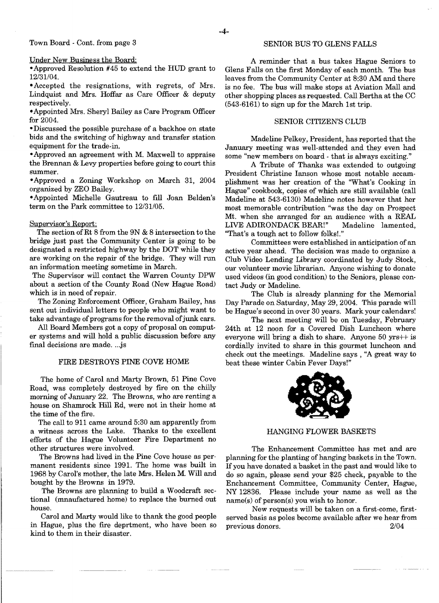#### Town Board - Cont. from page 3

#### Under New Business the Board:

-Approved Resolution #45 to extend the HOD grant to *12/31104.* 

- Accepted the resignations, with regrets, of Mrs. Lindquist and Mrs. Hoffar as Care Officer & deputy respectively.

-Appointed Mrs. Sheryl Bailey as Care Program Officer for 2004.

-Discussed the possible purchase of a backhoe on state bids and the switching of highway and transfer station equipment for the trade-in.

-Approved an agreement with M. Maxwell to appraise the Brennan & Levy properties before going to court this summer.

-Approved a Zoning Workshop on March 31, 2004 organized by ZEO Bailey.

-Appointed Michelle Gautreau to fill Joan Belden's term on the Park committee to *12/31105.* 

## Supervisor's Report:

The section of Rt 8 from the 9N & 8 intersection to the bridge just past the Community Center is going to be designated a restricted highway by the DOT while they are working on the repair of the bridge. They will run an information meeting sometime in March.

The Supervisor will contact the Warren County DPW about a section of the County Road (New Hague Road) which is in need of repair.

The Zoning Enforcement Officer, Graham Bailey, has sent out individual letters to people who might want to take advantage of programs for the removal of junk cars.

All Board Members got a copy of proposal on computer systems and will hold a public discussion before any final decisions are made...js

#### FIRE DESTROYS PINE COVE HOME

The home of Carol and Marty Brown, 51 Pine Cove Road, was completely destroyed by fire on the chilly morning of January 22. The Browns, who are renting a house on Shamrock Hill Rd, were not in their home at the time of the fire.

The call to 911 came around 5:30 am apparently from a witness across the Lake. Thanks to the excellent efforts of the Hague Volunteer Fire Department no other structures were involved.

The Browns had lived in the Pine Cove house as permanent residents since 1991. The home was built in 1968 by Carol's mother, the late Mrs. Helen M. Will and bought by the Browns in 1979.

The Browns are planning to build a Woodcraft sectional (mnaufactured home) to replace the burned out house.

Carol and Marty would like to thank the good people in Hague, plus the fire deprtment, who have been so kind to them in their disaster.

# SENIOR BUS TO GLENS FALLS

A reminder that a bus takes Hague Seniors to Glens Falls on the first Monday of each month. The bus leaves from the Community Center at 8:30 AM and there is no fee. The bus will make stops at Aviation Mall and other shopping places as requested. Call Bertha at the CC (543-6161) to sign up for the March 1st trip.

# SENIOR CITIZEN'S CLUB

Madeline Pelkey, President, has reported that the January meeting was well-attended and they even had some "new members on board - that is always exciting."

A Tribute of Thanks was extended to outgoing President Christine Ianson whose most notable accamplishment was her creation of the "What's Cooking in Hague" cookbook, copies of which are still available (call Madeline at 543-6130) Madeline notes however that her most memorable contribution "was the day on Prospect Mt. when she arranged for an audience with a REAL LIVE ADIRONDACK BEAR!" Madeline lamented, "That's a tough act to follow folks!."

Committees were established in anticipation of an active year ahead. The decision was made to organize a Club Video Lending Library coordinated by Judy Stock, our volunteer movie librarian. Anyone wishing to donate used videos (in good condition) to the Seniors, please contact Judy or Madeline.

The Club is already planning for the Memorial Day Parade on Saturday, May 29, 2004. This parade will be Hague's second in over 30 years. Mark your calendars!

The next meeting will be on Tuesday, February 24th at 12 noon for a Covered Dish Luncheon where everyone will bring a dish to share. Anyone  $50 \text{ yrs++}$  is cordially invited to share in this gourmet luncheon and check out the meetings. Madeline says, "A great way to beat these winter Cabin Fever Days!"



#### HANGING FLOWER BASKETS

The Enhancement Committee has met and are planning for the planting of hanging baskets in the Town. Ifyou have donated a basket in the past and would like to do so again, please send your \$25 check, payable to the Enchancement Committee, Community Center, Hague, NY 12836. Please include your name as well as the  $name(s)$  of person(s) you wish to honor.

New requests will be taken on a first-come, firstserved basis as poles become available after we hear from previous donors. *2/04*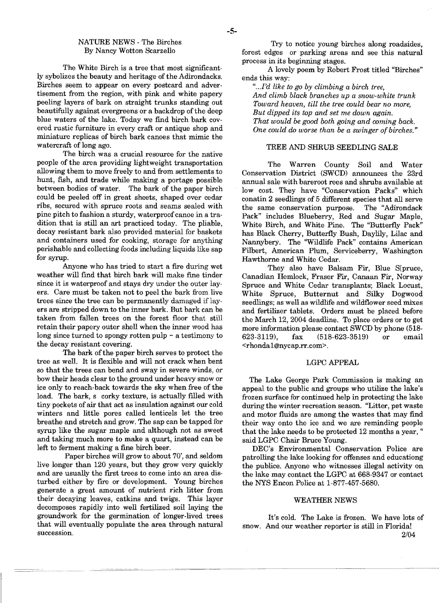# NATURE NEWS - The Birches By Nancy Wotton Scarzello

The White Birch is a tree that most significantly sybolizes the beauty and heritage of the Adirondacks. Birches seem to appear on every postcard and advertisement from the region, with pink and white papery peeling layers of bark on straight trunks standing out beautifully against evergreens or a backdrop of the deep blue waters of the lake. Today we find birch bark covered rustic furniture in every craft or antique shop and miniature replicas of birch bark canoes that mimic the watercraft of long ago.

The birch was a crucial resource for the native people of the area providing lightweight transportation allowing them to move freely to and from settlements to hunt, fish, and trade while making a portage possible between bodies of water. The bark of the paper birch could be peeled off in great sheets, shaped over cedar ribs, secured with spruce roots and seams sealed with pine pitch to fashion a sturdy, waterproof canoe in a tradition that is still an art practiced today. The pliable, decay resistant bark also provided material for baskets and containers used for cooking, storage for anything perishable and collecting foods including liquids like sap for syrup.

Anyone who has tried to start a fire during wet weather will fmd that birch bark will make fme tinder since it is waterproof and stays dry under the outer layers. Care must be taken not to peel the bark from live trees since the tree can be permanently damaged if layers are stripped down to the inner bark. But bark can be taken from fallen trees on the forest floor that still retain their papery outer shell when the inner wood has long since turned to spongy rotten pulp  $\sim$  a testimony to the decay resistant covering.

The bark of the paper birch serves to protect the tree as well. It is flexible and will not crack when bent so that the trees can bend and sway in severe winds, or bow their heads clear to the ground under heavy snow or ice only to reach· back towards the sky when free of the load. The bark, s corky texture, is actually filled with tiny pockets of air that act as insulation against our cold winters and little pores called lenticels let the tree breathe and stretch and grow. The sap can be tapped for syrup like the sugar maple and although not as sweet and taking much more to make a quart, instead can be left to ferment making a fine birch beer.

Paper birches will grow to about 70', and seldom live longer than 120 years, but they grow very quickly and are usually the frrst trees to come into an area disturbed either by fire or development. Young birches generate a great amount of nutrient rich litter from their decaying leaves, catkins and twigs. This layer decomposes rapidly into well fertilized soil laying the groundwork for the germination of longer-lived trees that will eventually populate the area through natural succession.

Try to notice young birches along roadsides, forest edges or parking areas and see this natural process in its beginning stages.

A lovely poem by Robert Frost titled "Birches" ends this way:

*"...I'd like to go by climbing a birch tree, And climb black branches up a snow-white trunk Toward heaven, till the tree could bear no more, But dipped its top and set me down again. That would be good both going and coming back. One could do worse than be a swinger of birches."* 

## TREE AND SHRUB SEEDLING SALE

The Warren County Soil and Water Conservation District (SWCD) announces the 23rd annual sale with bareroot rees and shrubs available at low cost. They have "Conservation Packs" which conatin 2 seedlings of 5 different species that all serve the same conservation purpose. The "Adirondack Pack" includes Blueberry, Red and Sugar Maple, White Birch, and White Pine. The "Butterfly Pack" has Black Cherry, Butterfly Bush, Daylily, Lilac and Nannybery. The "Wildlife Pack" contains American Filbert, American Plum, Serviceberry, Washington Hawthorne and White Cedar.

They also have Balsam Fir, Blue S[pruce, Canadian Hemlock, Fraser Fir, Canaan Fir, Norway Spruce and White Cedar transplants; Black Locust, White Spruce, Butternut and Silky Dogwood seedlings; as well as wildlife and wildflower seed mixes and fertilizer tablets. Orders must be placed before the March 12, 2004 deadline. To place orders or to get more information please contact SWCD by phone (518-623-3119), fax (518-623-3519) or email (518-623-3519) or email <rhondal@nycap.rr.com>.

# LGPCAPPEAL

The Lake George Park Commission is making an appeal to the public and groups who utilize the lake's frozen surface for continued help in protecting the lake during the winter recreation season. "Litter, pet waste and motor fluids are among the wastes that may find their way onto the ice and we are reminding people that the lake needs to be protected 12 months a year, " said LGPC Chair Bruce Young.

DEC's Environmental Conservation Police are patrolling the lake looking for offenses and educationg the publice. Anyone who witnesses illegal activity on the lake may contact the LGPC at 668-9347 or contact the NYS Encon Police at 1-877-457-5680.

# WEATHER NEWS

It's cold. The Lake is frozen. We have lots of snow. And our weather reporter is still in Florida! 2/04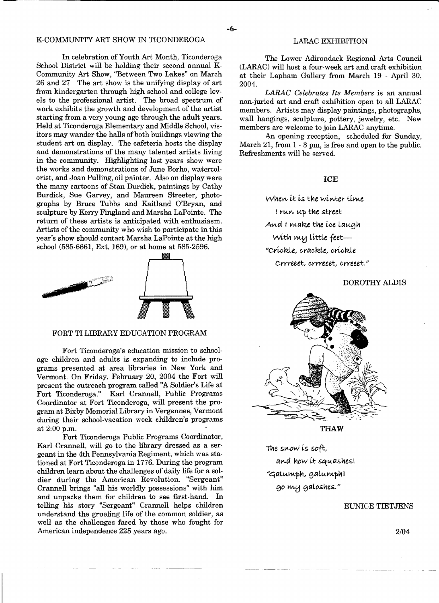# K-COMMUNITY ART SHOW IN TICONDEROGA

In celebration of Youth Art Month, Ticonderoga School District will be holding their second annual K-Community Art Show, "Between Two Lakes" on March 26 and 27. The art show is the unifying display of art from kindergarten through high school and college levels to the professional artist. The broad spectrum of work exhibits the growth and development of the artist starting from a very young age through the adult years. Held at Ticonderoga Elementary and Middle School, visitors may wander the halls of both buildings viewing the student art on display. The cafeteria hosts the display and demonstrations of the many talented artists living in the community. Highlighting last years show were the works and demonstrations of June Borho, watercolorist, and Joan Pulling, oil painter. Also on display were the many cartoons of Stan Burdick, paintings by Cathy Burdick, Sue Garvey, and Maureen Streeter, photographs by Bruce Tubbs and Kaitland O'Bryan, and sculpture by Kerry Fingland and Marsha LaPointe. The return of these artists is anticipated with enthusiasm. Artists of the community who wish to participate in this year's show should contact Marsha LaPointe at the high school (585-6661, Ext. 169), or at home at 585-2596.



#### FORT TI LIBRARY EDUCATION PROGRAM

Fort Ticonderoga's education mission to schoolage children and adults is expanding to include programs presented at area libraries in New York and Vermont. On Friday, February 20, 2004 the Fort will present the outreach program called "A Soldier's Life at Fort Ticonderoga." Karl Crannell, Public Programs Coordinator at Fort Ticonderoga, will present the program at Bixby Memorial Library in Vergennes, Vermont during their school-vacation week children's programs at 2:00 p.m.

Fort Ticonderoga Public Programs Coordinator, Karl Crannell, will go to the library dressed as a sergeant in the 4th Pennsylvania Regiment, which was stationed at Fort Ticonderoga in 1776. During the program children learn about the challenges of daily life for a soldier during the American Revolution. "Sergeant" Crannell brings "all his worldly possessions" with him and unpacks them for children to see first-hand. In telling his story "Sergeant" Crannell helps children understand the grueling life of the common soldier, as well as the challenges faced by those who fought for American independence 225 years ago.

## LARAC EXHIBITION

The Lower Adirondack Regional Arts Council (LARAC) will host a four-week art and craft exhibition at their Lapham Gallery from March 19 - April 30, 2004.

*LARAC Celebrates Its Members* is an annual non-juried art and craft exhibition open to all LARAC members. Artists may display paintings, photographs, wall hangings, sculpture, pottery, jewelry, etc. New members are welcome to join LARAC anytime.

An opening reception, scheduled for Sunday, March 21, from  $1 \cdot 3$  pm, is free and open to the public. Refreshments will be served.

ICE

*When it is the winter time* I run up the street And I make the *ice* laugh with my little *feet*-"Crickle, crackle, crickle cYrreeet, *eyyyeeet,* erreeet."

DOROTHY ALDIS



THAW

The *sV\..ow* is soft, and how it squashes! "Galumph, galumph! go my galoshes."

# EUNICE TIETJENS

2/04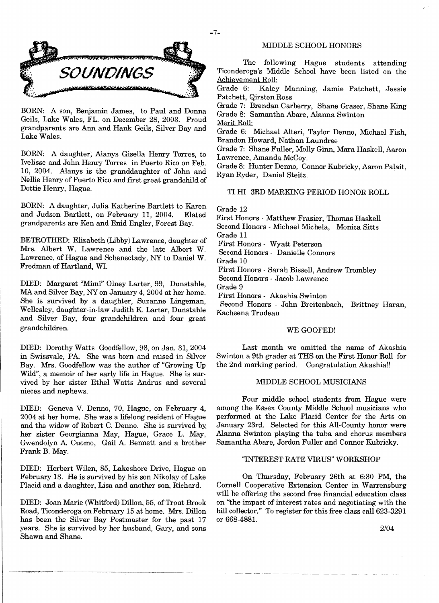



BORN: A son, Benjamin James, to Paul and Donna Geils, Lake Wales, FL. on December 28, 2003. Proud grandparents are Ann and Hank Geils, Silver Bay and Lake Wales.

BORN: A daughter; Alanys Gisella Henry Torres, to Ivelisse and John Henry Torres in Puerto Rico on Feb. 10, 2004. Alanys is the granddaughter of John and Nellie Henry of Puerto Rico and first great grandchild of Dottie Henry, Hague.

BORN: A daughter, Julia Katherine Bartlett to Karen and Judson Bartlett, on February 11, 2004. Elated grandparents are Ken and Enid Engler, Forest Bay.

BETROTHED: Elizabeth (Libby) Lawrence, daughter of Mrs. Albert W. Lawrence and the late Albert W. Lawrence, of Hague and Schenectady, NY to Daniel W. Fredman of Hartland, WI.

DIED: Margaret "Mimi" Olney Larter, 99, Dunstable, MA and Silver Bay, NY on January 4, 2004 at her home. She is survived by a daughter, Suzanne Lingeman, Wellesley, daughter-in-law Judith K, Larter, Dunstable and Silver Bay, four grandchildren and four great grandchildren.

DIED: Dorothy Watts Goodfellow, 98, on Jan. 31,2004 in Swissvale, PA She was born and raised in Silver Bay. Mrs. Goodfellow was the author of "Growing Up Wild", a memoir of her early life in Hague. She is survived by her sister Ethel Watts Andrus and several nieces and nephews.

DIED: Geneva V. Denno, 70, Hague, on February 4, 2004 at her home. She was a lifelong resident of Hague and the widow of Robert C. Denno. She is survived by: her sister Georgianna May, Hague, Grace L. May, Gwendolyn A. Cuomo, Gail A. Bennett and a brother Frank B. May.

DIED: Herbert Wilen, 85, Lakeshore Drive, Hague on February 13. He is survived by his son Nikolay of Lake Placid and a daughter, Lisa and another son, Richard.

DIED: Joan Marie (Whitford) Dillon, 55, of Trout Brook Road, Ticonderoga on February 15 at home. Mrs. Dillon has been the Silver Bay Postmaster for the past 17 years. She is survived by her husband, Gary, and sons Shawn and Shane.

# MIDDLE SCHOOL HONORS

The following Hague students attending Ticonderoga's Middle School have been listed on the Achievement Roll:<br>Grade 6: Kaley

Kaley Manning, Jamie Patchett, Jessie Patchett, Qirsten Ross

Grade 7: Brendan Carberry, Shane Graser, Shane King Grade 8: Samantha Abare, Alanna Swinton

Merit Roll;

Grade 6; Michael Alteri, Taylor Denno, Michael Fish, Brandon Howard, Nathan Laundree

Grade 7: Shane Fuller, Molly Ginn, Mara Haskell, Aaron Lawrence, Amanda McCoy.

Grade 8: Hunter Denno, Connor Kubricky, Aaron Palait, Ryan Ryder, Daniel Steitz.

# TI HI 3RD MARKING PERIOD HONOR ROLL

Grade 12

First Honors - Matthew Frasier, Thomas Haskell Second Honors - Michael Michela, Monica Sitts Grade 11

First Honors - Wyatt Peterson

Second Honors - Danielle Connors

Grade 10

First Honors - Sarah Bissell, Andrew Trombley

Second Honors - Jacob Lawrence

Grade 9

First Honors - Akashia Swinton

Second Honors - John Breitenbach, Brittney Haran, Kacheena Trudeau

#### WE GOOFED!

Last month we omitted the name of Akashia Swinton a 9th grader at THS on the First Honor Roll for the 2nd marking period. Congratulation Akashia!!

# MIDDLE SCHOOL MUSICIANS

Four middle school students from Hague were among the Essex County Middle School musicians who performed at the Lake Placid Center for the Arts on January 23rd. Selected for this All-County honor were Alanna Swinton playing the tuba and chorus members Samantha Abare, Jordon Fuller and Connor Kubricky.

## "INTEREST RATE VIRUS" WORKSHOP

On Thursday, February 26th at 6:30 PM, the Cornell Cooperative Extension Center in Warrensburg will be offering the second free fmancial education class on "the impact of interest rates and negotiating with the bill collector." To register for this free class call 623-3291 or 668-4881.

*2/04*